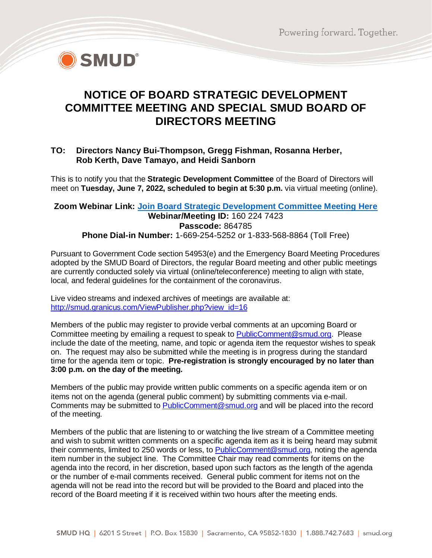

## **NOTICE OF BOARD STRATEGIC DEVELOPMENT COMMITTEE MEETING AND SPECIAL SMUD BOARD OF DIRECTORS MEETING**

## **TO: Directors Nancy Bui-Thompson, Gregg Fishman, Rosanna Herber, Rob Kerth, Dave Tamayo, and Heidi Sanborn**

This is to notify you that the **Strategic Development Committee** of the Board of Directors will meet on **Tuesday, June 7, 2022, scheduled to begin at 5:30 p.m.** via virtual meeting (online).

## **Zoom Webinar Link: [Join Board Strategic Development Committee Meeting Here](https://smud.zoomgov.com/j/1602247423?pwd=aEV5ZUhyZC91WUtOaWZRb09zb2FzQT09) Webinar/Meeting ID:** 160 224 7423 **Passcode:** 864785 **Phone Dial-in Number:** 1-669-254-5252 or 1-833-568-8864 (Toll Free)

Pursuant to Government Code section 54953(e) and the Emergency Board Meeting Procedures adopted by the SMUD Board of Directors, the regular Board meeting and other public meetings are currently conducted solely via virtual (online/teleconference) meeting to align with state, local, and federal guidelines for the containment of the coronavirus.

Live video streams and indexed archives of meetings are available at: [http://smud.granicus.com/ViewPublisher.php?view\\_id=16](http://smud.granicus.com/ViewPublisher.php?view_id=16)

Members of the public may register to provide verbal comments at an upcoming Board or Committee meeting by emailing a request to speak to [PublicComment@smud.org.](mailto:PublicComment@smud.org) Please include the date of the meeting, name, and topic or agenda item the requestor wishes to speak on. The request may also be submitted while the meeting is in progress during the standard time for the agenda item or topic. **Pre-registration is strongly encouraged by no later than 3:00 p.m. on the day of the meeting.**

Members of the public may provide written public comments on a specific agenda item or on items not on the agenda (general public comment) by submitting comments via e-mail. Comments may be submitted to **PublicComment@smud.org** and will be placed into the record of the meeting.

Members of the public that are listening to or watching the live stream of a Committee meeting and wish to submit written comments on a specific agenda item as it is being heard may submit their comments, limited to 250 words or less, to **PublicComment@smud.org**, noting the agenda item number in the subject line. The Committee Chair may read comments for items on the agenda into the record, in her discretion, based upon such factors as the length of the agenda or the number of e-mail comments received. General public comment for items not on the agenda will not be read into the record but will be provided to the Board and placed into the record of the Board meeting if it is received within two hours after the meeting ends.